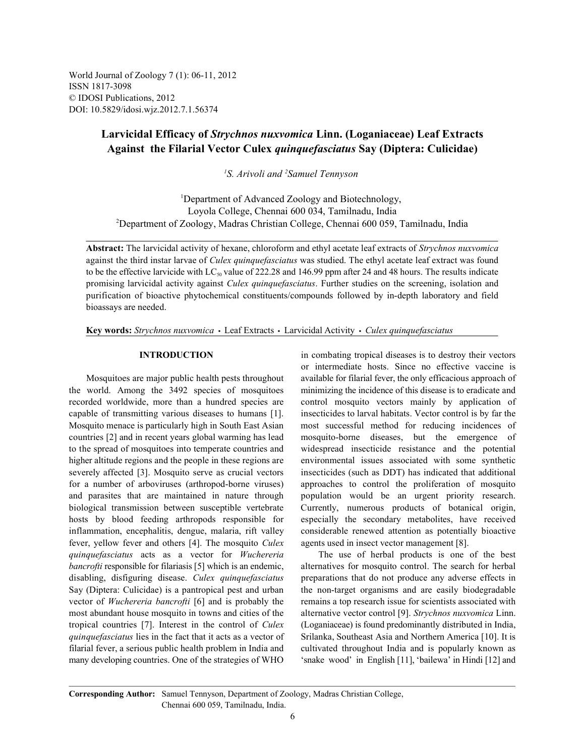World Journal of Zoology 7 (1): 06-11, 2012 ISSN 1817-3098 © IDOSI Publications, 2012 DOI: 10.5829/idosi.wjz.2012.7.1.56374

# **Larvicidal Efficacy of** *Strychnos nuxvomica* **Linn. (Loganiaceae) Leaf Extracts Against the Filarial Vector Culex** *quinquefasciatus* **Say (Diptera: Culicidae)**

<sup>1</sup>S. Arivoli and <sup>2</sup> Samuel Tennyson

<sup>1</sup>Department of Advanced Zoology and Biotechnology, Loyola College, Chennai 600 034, Tamilnadu, India Department of Zoology, Madras Christian College, Chennai 600 059, Tamilnadu, India <sup>2</sup>

**Abstract:** The larvicidal activity of hexane, chloroform and ethyl acetate leaf extracts of *Strychnos nuxvomica* against the third instar larvae of *Culex quinquefasciatus* was studied. The ethyl acetate leaf extract was found to be the effective larvicide with  $LC_{50}$  value of 222.28 and 146.99 ppm after 24 and 48 hours. The results indicate promising larvicidal activity against *Culex quinquefasciatus*. Further studies on the screening, isolation and purification of bioactive phytochemical constituents/compounds followed by in-depth laboratory and field bioassays are needed.

Key words: *Strychnos nuxvomica* · Leaf Extracts · Larvicidal Activity · Culex quinquefasciatus

the world. Among the 3492 species of mosquitoes minimizing the incidence of this disease is to eradicate and recorded worldwide, more than a hundred species are control mosquito vectors mainly by application of capable of transmitting various diseases to humans [1]. insecticides to larval habitats. Vector control is by far the Mosquito menace is particularly high in South East Asian most successful method for reducing incidences of countries [2] and in recent years global warming has lead mosquito-borne diseases, but the emergence of to the spread of mosquitoes into temperate countries and widespread insecticide resistance and the potential higher altitude regions and the people in these regions are environmental issues associated with some synthetic severely affected [3]. Mosquito serve as crucial vectors insecticides (such as DDT) has indicated that additional for a number of arboviruses (arthropod-borne viruses) approaches to control the proliferation of mosquito and parasites that are maintained in nature through population would be an urgent priority research. biological transmission between susceptible vertebrate Currently, numerous products of botanical origin, hosts by blood feeding arthropods responsible for especially the secondary metabolites, have received inflammation, encephalitis, dengue, malaria, rift valley considerable renewed attention as potentially bioactive fever, yellow fever and others [4]. The mosquito *Culex* agents used in insect vector management [8]. *quinquefasciatus* acts as a vector for *Wuchereria* The use of herbal products is one of the best *bancrofti* responsible for filariasis [5] which is an endemic, alternatives for mosquito control. The search for herbal disabling, disfiguring disease. *Culex quinquefasciatus* preparations that do not produce any adverse effects in Say (Diptera: Culicidae) is a pantropical pest and urban the non-target organisms and are easily biodegradable vector of *Wuchereria bancrofti* [6] and is probably the remains a top research issue for scientists associated with most abundant house mosquito in towns and cities of the alternative vector control [9]. *Strychnos nuxvomica* Linn. tropical countries [7]. Interest in the control of *Culex* (Loganiaceae) is found predominantly distributed in India, *quinquefasciatus* lies in the fact that it acts as a vector of Srilanka, Southeast Asia and Northern America [10]. It is filarial fever, a serious public health problem in India and cultivated throughout India and is popularly known as many developing countries. One of the strategies of WHO 'snake wood' in English [11], 'bailewa' in Hindi [12] and

**INTRODUCTION** in combating tropical diseases is to destroy their vectors Mosquitoes are major public health pests throughout available for filarial fever, the only efficacious approach of or intermediate hosts. Since no effective vaccine is

**Corresponding Author:** Samuel Tennyson, Department of Zoology, Madras Christian College, Chennai 600 059, Tamilnadu, India.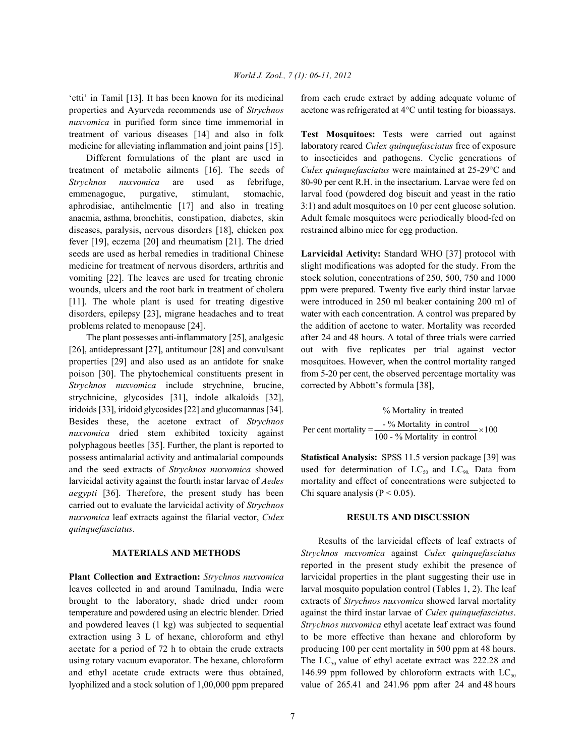properties and Ayurveda recommends use of *Strychnos* acetone was refrigerated at 4°C until testing for bioassays. *nuxvomica* in purified form since time immemorial in treatment of various diseases [14] and also in folk **Test Mosquitoes:** Tests were carried out against medicine for alleviating inflammation and joint pains [15]. laboratory reared *Culex quinquefasciatus* free of exposure

treatment of metabolic ailments [16]. The seeds of *Culex quinquefasciatus* were maintained at 25-29°C and *Strychnos nuxvomica* are used as febrifuge, 80-90 per cent R.H. in the insectarium. Larvae were fed on emmenagogue, purgative, stimulant, stomachic, larval food (powdered dog biscuit and yeast in the ratio aphrodisiac, antihelmentic [17] and also in treating 3:1) and adult mosquitoes on 10 per cent glucose solution. anaemia, asthma, bronchitis, constipation, diabetes, skin Adult female mosquitoes were periodically blood-fed on diseases, paralysis, nervous disorders [18], chicken pox restrained albino mice for egg production. fever [19], eczema [20] and rheumatism [21]. The dried seeds are used as herbal remedies in traditional Chinese **Larvicidal Activity:** Standard WHO [37] protocol with medicine for treatment of nervous disorders, arthritis and slight modifications was adopted for the study. From the vomiting [22]. The leaves are used for treating chronic stock solution, concentrations of 250, 500, 750 and 1000 wounds, ulcers and the root bark in treatment of cholera ppm were prepared. Twenty five early third instar larvae [11]. The whole plant is used for treating digestive were introduced in 250 ml beaker containing 200 ml of disorders, epilepsy [23], migrane headaches and to treat water with each concentration. A control was prepared by

[26], antidepressant [27], antitumour [28] and convulsant out with five replicates per trial against vector properties [29] and also used as an antidote for snake mosquitoes. However, when the control mortality ranged poison [30]. The phytochemical constituents present in from 5-20 per cent, the observed percentage mortality was *Strychnos nuxvomica* include strychnine, brucine, corrected by Abbott's formula [38], strychnicine, glycosides [31], indole alkaloids [32], iridoids [33], iridoid glycosides [22] and glucomannas [34]. Besides these, the acetone extract of *Strychnos nuxvomica* dried stem exhibited toxicity against polyphagous beetles [35]. Further, the plant is reported to possess antimalarial activity and antimalarial compounds **Statistical Analysis:** SPSS 11.5 version package [39] was and the seed extracts of *Strychnos nuxvomica* showed used for determination of  $LC_{s0}$  and  $LC_{90}$ . Data from larvicidal activity against the fourth instar larvae of *Aedes* mortality and effect of concentrations were subjected to *aegypti* [36]. Therefore, the present study has been Chi square analysis ( $P < 0.05$ ). carried out to evaluate the larvicidal activity of *Strychnos nuxvomica* leaf extracts against the filarial vector, *Culex* **RESULTS AND DISCUSSION** *quinquefasciatus*.

leaves collected in and around Tamilnadu, India were larval mosquito population control (Tables 1, 2). The leaf brought to the laboratory, shade dried under room extracts of *Strychnos nuxvomica* showed larval mortality temperature and powdered using an electric blender. Dried against the third instar larvae of *Culex quinquefasciatus*. and powdered leaves (1 kg) was subjected to sequential *Strychnos nuxvomica* ethyl acetate leaf extract was found extraction using 3 L of hexane, chloroform and ethyl to be more effective than hexane and chloroform by acetate for a period of 72 h to obtain the crude extracts producing 100 per cent mortality in 500 ppm at 48 hours. using rotary vacuum evaporator. The hexane, chloroform The  $LC_{so}$  value of ethyl acetate extract was 222.28 and and ethyl acetate crude extracts were thus obtained,  $146.99$  ppm followed by chloroform extracts with LC<sub>50</sub> lyophilized and a stock solution of 1,00,000 ppm prepared value of 265.41 and 241.96 ppm after 24 and 48 hours

'etti' in Tamil [13]. It has been known for its medicinal from each crude extract by adding adequate volume of

Different formulations of the plant are used in to insecticides and pathogens. Cyclic generations of

problems related to menopause [24]. the addition of acetone to water. Mortality was recorded The plant possesses anti-inflammatory [25], analgesic after 24 and 48 hours. A total of three trials were carried

> % Mortality in treated Per cent mortality =  $\frac{60 \text{ Mortality in control}}{100 - \% \text{ Mortality in control}} \times 100$

**MATERIALS AND METHODS** *Strychnos nuxvomica* against *Culex quinquefasciatus* **Plant Collection and Extraction:** *Strychnos nuxvomica* larvicidal properties in the plant suggesting their use in Results of the larvicidal effects of leaf extracts of reported in the present study exhibit the presence of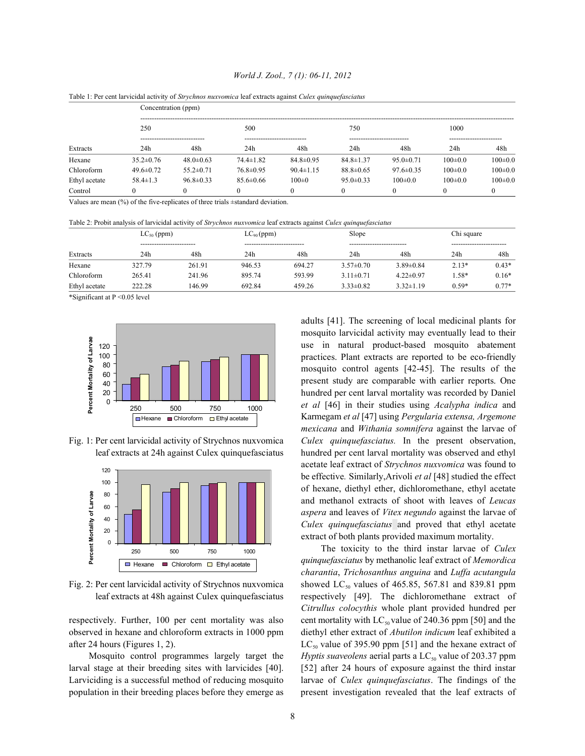| Table 1. Fel cent iai viciual activity of <i>su yennos huxvolnica</i> ical cxtracts against C <i>utex quinque fusciums</i> |                     |                 |                 |                 |                 |                 |               |               |  |  |  |  |
|----------------------------------------------------------------------------------------------------------------------------|---------------------|-----------------|-----------------|-----------------|-----------------|-----------------|---------------|---------------|--|--|--|--|
| Extracts                                                                                                                   | Concentration (ppm) |                 |                 |                 |                 |                 |               |               |  |  |  |  |
|                                                                                                                            | 250                 |                 | 500             |                 | 750             |                 | 1000          |               |  |  |  |  |
|                                                                                                                            | 24h                 | 48h             | 24h             | 48h             | 24h             | 48h             | 24h           | 48h           |  |  |  |  |
| Hexane                                                                                                                     | $35.2 \pm 0.76$     | $48.0 \pm 0.63$ | $74.4 \pm 1.82$ | $84.8 \pm 0.95$ | $84.8 \pm 1.37$ | $95.0 \pm 0.71$ | $100 \pm 0.0$ | $100 \pm 0.0$ |  |  |  |  |
| Chloroform                                                                                                                 | $49.6 \pm 0.72$     | $55.2 \pm 0.71$ | $76.8 \pm 0.95$ | $90.4 \pm 1.15$ | $88.8 \pm 0.65$ | $97.6 \pm 0.35$ | $100 \pm 0.0$ | $100 \pm 0.0$ |  |  |  |  |
| Ethyl acetate                                                                                                              | $58.4 \pm 1.3$      | $96.8 \pm 0.33$ | $85.6\pm0.66$   | $100 \pm 0$     | $95.0 \pm 0.33$ | $100 \pm 0.0$   | $100 \pm 0.0$ | $100 \pm 0.0$ |  |  |  |  |
| Control                                                                                                                    |                     |                 |                 |                 |                 |                 |               |               |  |  |  |  |

Table 1: Per cent larvicidal activity of *Strychnos nuxvomica* leaf extracts against *Culex quinquefasciatus*

Values are mean (%) of the five-replicates of three trials ±standard deviation.

Table 2: Probit analysis of larvicidal activity of *Strychnos nuxvomica* leaf extracts against *Culex quinquefasciatus*

| Extracts      | $LC_{50}$ (ppm)<br>------------------------- |        | $LC_{90}$ (ppm)<br>--------------------------- |        | Slope<br>-------------------------- |                 | Chi square<br>-------------------- |         |
|---------------|----------------------------------------------|--------|------------------------------------------------|--------|-------------------------------------|-----------------|------------------------------------|---------|
|               |                                              |        |                                                |        |                                     |                 |                                    |         |
|               | Hexane                                       | 327.79 | 261.91                                         | 946.53 | 694.27                              | $3.57 \pm 0.70$ | $3.89 \pm 0.84$                    | $2.13*$ |
| Chloroform    | 265.41                                       | 241.96 | 895.74                                         | 593.99 | $3.11 \pm 0.71$                     | $4.22 \pm 0.97$ | .58*                               | $0.16*$ |
| Ethyl acetate | 222.28                                       | 146.99 | 692.84                                         | 459.26 | $3.33 \pm 0.82$                     | $3.32 \pm 1.19$ | $0.59*$                            | $0.77*$ |

\*Significant at P <0.05 level





Fig. 1: Per cent larvicidal activity of Strychnos nuxvomica *Culex quinquefasciatus.* In the present observation, leaf extracts at 24h against Culex quinquefasciatus hundred per cent larval mortality was observed and ethyl adults [41]. The screening of local medicinal plants for mosquito larvicidal activity may eventually lead to their use in natural product-based mosquito abatement practices. Plant extracts are reported to be eco-friendly mosquito control agents [42-45]. The results of the present study are comparable with earlier reports. One hundred per cent larval mortality was recorded by Daniel *et al* [46] in their studies using *Acalypha indica* and Karmegam *et al* [47] using *Pergularia extensa, Argemone mexicana* and *Withania somnifera* against the larvae of acetate leaf extract of *Strychnos nuxvomica* was found to be effective*.* Similarly,Arivoli *et al* [48] studied the effect of hexane, diethyl ether, dichloromethane, ethyl acetate and methanol extracts of shoot with leaves of *Leucas aspera* and leaves of *Vitex negundo* against the larvae of *Culex quinquefasciatus* and proved that ethyl acetate extract of both plants provided maximum mortality.

Fig. 2: Per cent larvicidal activity of Strychnos nuxvomica showed  $LC_{50}$  values of 465.85, 567.81 and 839.81 ppm leaf extracts at 48h against Culex quinquefasciatus respectively [49]. The dichloromethane extract of respectively. Further, 100 per cent mortality was also cent mortality with  $LC_{s0}$  value of 240.36 ppm [50] and the observed in hexane and chloroform extracts in 1000 ppm diethyl ether extract of *Abutilon indicum* leaf exhibited a after 24 hours (Figures 1, 2).  $LC_{50}$  value of 395.90 ppm [51] and the hexane extract of Mosquito control programmes largely target the *Hyptis suaveolens* aerial parts a  $LC_{so}$  value of 203.37 ppm larval stage at their breeding sites with larvicides [40]. [52] after 24 hours of exposure against the third instar Larviciding is a successful method of reducing mosquito larvae of *Culex quinquefasciatus*. The findings of the population in their breeding places before they emerge as present investigation revealed that the leaf extracts of The toxicity to the third instar larvae of *Culex quinquefasciatus* by methanolic leaf extract of *Memordica charantia*, *Trichosanthus anguina* and *Luffa acutangula Citrullus colocythis* whole plant provided hundred per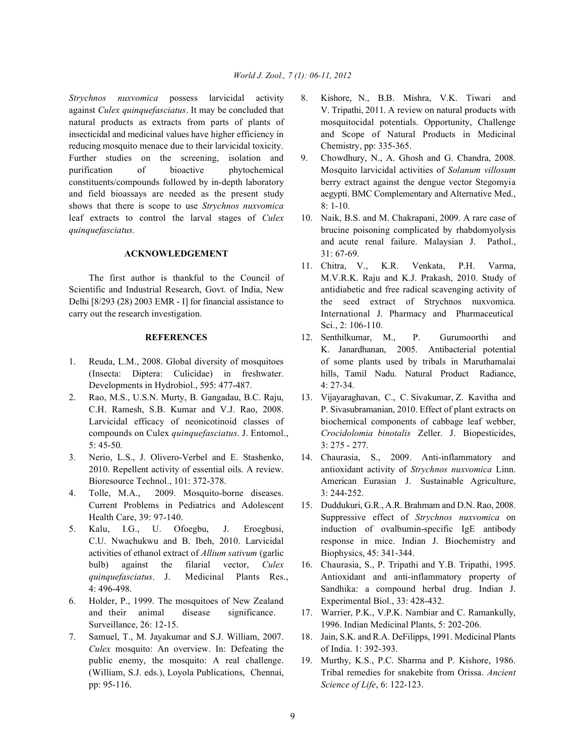*Strychnos nuxvomica* possess larvicidal activity 8. Kishore, N., B.B. Mishra, V.K. Tiwari and against *Culex quinquefasciatus*. It may be concluded that V. Tripathi, 2011. A review on natural products with natural products as extracts from parts of plants of mosquitocidal potentials. Opportunity, Challenge insecticidal and medicinal values have higher efficiency in and Scope of Natural Products in Medicinal reducing mosquito menace due to their larvicidal toxicity. Chemistry, pp: 335-365. Further studies on the screening, isolation and 9. Chowdhury, N., A. Ghosh and G. Chandra, 2008. purification of bioactive phytochemical Mosquito larvicidal activities of *Solanum villosum* constituents/compounds followed by in-depth laboratory berry extract against the dengue vector Stegomyia and field bioassays are needed as the present study aegypti. BMC Complementary and Alternative Med., shows that there is scope to use *Strychnos nuxvomica* 8: 1-10. leaf extracts to control the larval stages of *Culex* 10. Naik, B.S. and M. Chakrapani, 2009. A rare case of *quinquefasciatus.* brucine poisoning complicated by rhabdomyolysis

## **ACKNOWLEDGEMENT** 31: 67-69.

Scientific and Industrial Research, Govt. of India, New antidiabetic and free radical scavenging activity of Delhi [8/293 (28) 2003 EMR - I] for financial assistance to the seed extract of Strychnos nuxvomica. carry out the research investigation. International J. Pharmacy and Pharmaceutical

- Developments in Hydrobiol., 595: 477-487. 4: 27-34.
- 2. Rao, M.S., U.S.N. Murty, B. Gangadau, B.C. Raju, 13. Vijayaraghavan, C., C. Sivakumar, Z. Kavitha and 5: 45-50. 3: 275 - 277.
- 3. Nerio, L.S., J. Olivero-Verbel and E. Stashenko, 14. Chaurasia, S., 2009. Anti-inflammatory and
- 4. Tolle, M.A., 2009. Mosquito-borne diseases. 3: 244-252. Current Problems in Pediatrics and Adolescent 15. Duddukuri, G.R., A.R. Brahmam and D.N. Rao, 2008.
- activities of ethanol extract of *Allium sativum* (garlic Biophysics, 45: 341-344. bulb) against the filarial vector, *Culex* 16. Chaurasia, S., P. Tripathi and Y.B. Tripathi, 1995.
- 6. Holder, P., 1999. The mosquitoes of New Zealand Experimental Biol., 33: 428-432. and their animal disease significance. 17. Warrier, P.K., V.P.K. Nambiar and C. Ramankully, Surveillance, 26: 12-15. 1996. Indian Medicinal Plants, 5: 202-206.
- 7. Samuel, T., M. Jayakumar and S.J. William, 2007. 18. Jain, S.K. and R.A. DeFilipps, 1991. Medicinal Plants *Culex* mosquito: An overview. In: Defeating the of India. 1: 392-393. public enemy, the mosquito: A real challenge. 19. Murthy, K.S., P.C. Sharma and P. Kishore, 1986. pp: 95-116. *Science of Life*, 6: 122-123.
- 
- 
- and acute renal failure. Malaysian J. Pathol.,
- The first author is thankful to the Council of M.V.R.K. Raju and K.J. Prakash, 2010. Study of 11. Chitra, V., K.R. Venkata, P.H. Varma, Sci., 2: 106-110.
- **REFERENCES** 12. Senthilkumar, M., P. Gurumoorthi and 1. Reuda, L.M., 2008. Global diversity of mosquitoes of some plants used by tribals in Maruthamalai (Insecta: Diptera: Culicidae) in freshwater. hills, Tamil Nadu. Natural Product Radiance, K. Janardhanan, 2005. Antibacterial potential
	- C.H. Ramesh, S.B. Kumar and V.J. Rao, 2008. P. Sivasubramanian, 2010. Effect of plant extracts on Larvicidal efficacy of neonicotinoid classes of biochemical components of cabbage leaf webber, compounds on Culex *quinquefasciatus*. J. Entomol., *Crocidolomia binotalis* Zeller. J. Biopesticides,
	- 2010. Repellent activity of essential oils. A review. antioxidant activity of *Strychnos nuxvomica* Linn. Bioresource Technol., 101: 372-378. American Eurasian J. Sustainable Agriculture,
- Health Care, 39: 97-140. Suppressive effect of *Strychnos nuxvomica* on 5. Kalu, I.G., U. Ofoegbu, J. Eroegbusi, induction of ovalbumin-specific IgE antibody C.U. Nwachukwu and B. Ibeh, 2010. Larvicidal response in mice. Indian J. Biochemistry and
	- *quinquefasciatus*. J. Medicinal Plants Res., Antioxidant and anti-inflammatory property of 4: 496-498. Sandhika: a compound herbal drug. Indian J.
		-
		-
	- (William, S.J. eds.), Loyola Publications, Chennai, Tribal remedies for snakebite from Orissa. *Ancient*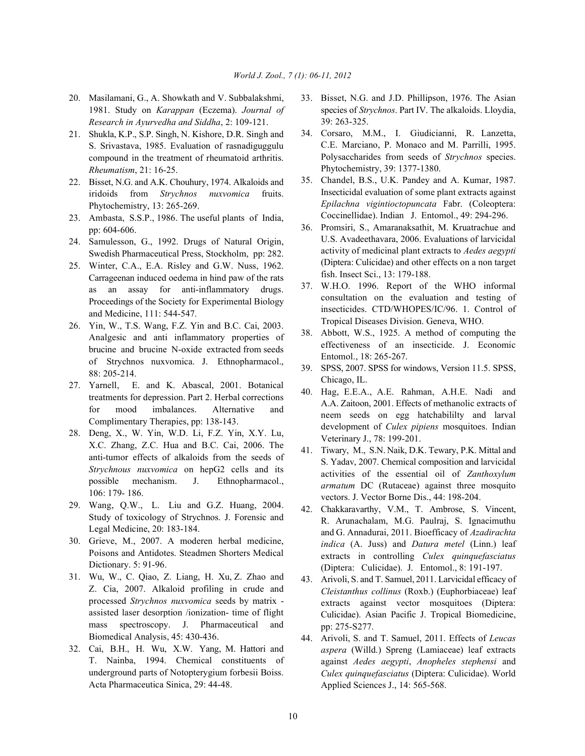- 1981. Study on *Karappan* (Eczema). *Journal of Research in Ayurvedha and Siddha*, 2: 109-121.
- 21. Shukla, K.P., S.P. Singh, N. Kishore, D.R. Singh and S. Srivastava, 1985. Evaluation of rasnadiguggulu compound in the treatment of rheumatoid arthritis. *Rheumatism*, 21: 16-25.
- 22. Bisset, N.G. and A.K. Chouhury, 1974. Alkaloids and iridoids from *Strychnos nuxvomica* fruits. Phytochemistry, 13: 265-269.
- 23. Ambasta, S.S.P., 1986. The useful plants of India, pp: 604-606.
- 24. Samulesson, G., 1992. Drugs of Natural Origin, Swedish Pharmaceutical Press, Stockholm, pp: 282.
- 25. Winter, C.A., E.A. Risley and G.W. Nuss, 1962. Carrageenan induced oedema in hind paw of the rats as an assay for anti-inflammatory drugs. Proceedings of the Society for Experimental Biology and Medicine, 111: 544-547.
- 26. Yin, W., T.S. Wang, F.Z. Yin and B.C. Cai, 2003. Analgesic and anti inflammatory properties of brucine and brucine N-oxide extracted from seeds of Strychnos nuxvomica. J. Ethnopharmacol., 88: 205-214.
- 27. Yarnell, E. and K. Abascal, 2001. Botanical treatments for depression. Part 2. Herbal corrections for mood imbalances. Alternative and Complimentary Therapies, pp: 138-143.
- 28. Deng, X., W. Yin, W.D. Li, F.Z. Yin, X.Y. Lu, X.C. Zhang, Z.C. Hua and B.C. Cai, 2006. The anti-tumor effects of alkaloids from the seeds of *Strychnous nuxvomica* on hepG2 cells and its possible mechanism. J. Ethnopharmacol., 106: 179- 186.
- 29. Wang, Q.W., L. Liu and G.Z. Huang, 2004. Study of toxicology of Strychnos. J. Forensic and Legal Medicine, 20: 183-184.
- 30. Grieve, M., 2007. A moderen herbal medicine, Poisons and Antidotes. Steadmen Shorters Medical Dictionary. 5: 91-96.
- 31. Wu, W., C. Qiao, Z. Liang, H. Xu, Z. Zhao and Z. Cia, 2007. Alkaloid profiling in crude and processed *Strychnos nuxvomica* seeds by matrix assisted laser desorption /ionization- time of flight mass spectroscopy. J. Pharmaceutical and Biomedical Analysis, 45: 430-436.
- 32. Cai, B.H., H. Wu, X.W. Yang, M. Hattori and T. Nainba, 1994. Chemical constituents of underground parts of Notopterygium forbesii Boiss. Acta Pharmaceutica Sinica, 29: 44-48.
- 20. Masilamani, G., A. Showkath and V. Subbalakshmi, 33. Bisset, N.G. and J.D. Phillipson, 1976. The Asian species of *Strychnos*. Part IV. The alkaloids. Lloydia, 39: 263-325.
	- 34. Corsaro, M.M., I. Giudicianni, R. Lanzetta, C.E. Marciano, P. Monaco and M. Parrilli, 1995. Polysaccharides from seeds of *Strychnos* species. Phytochemistry, 39: 1377-1380.
	- 35. Chandel, B.S., U.K. Pandey and A. Kumar, 1987. Insecticidal evaluation of some plant extracts against *Epilachna vigintioctopuncata* Fabr. (Coleoptera: Coccinellidae). Indian J. Entomol., 49: 294-296.
	- 36. Promsiri, S., Amaranaksathit, M. Kruatrachue and U.S. Avadeethavara, 2006. Evaluations of larvicidal activity of medicinal plant extracts to *Aedes aegypti* (Diptera: Culicidae) and other effects on a non target fish. Insect Sci., 13: 179-188.
	- 37. W.H.O. 1996. Report of the WHO informal consultation on the evaluation and testing of insecticides. CTD/WHOPES/IC/96. 1. Control of Tropical Diseases Division. Geneva, WHO.
	- 38. Abbott, W.S., 1925. A method of computing the effectiveness of an insecticide. J. Economic Entomol., 18: 265-267.
	- 39. SPSS, 2007. SPSS for windows, Version 11.5. SPSS, Chicago, IL.
	- 40. Hag, E.E.A., A.E. Rahman, A.H.E. Nadi and A.A. Zaitoon, 2001. Effects of methanolic extracts of neem seeds on egg hatchabililty and larval development of *Culex pipiens* mosquitoes. Indian Veterinary J., 78: 199-201.
	- 41. Tiwary, M., S.N. Naik, D.K. Tewary, P.K. Mittal and S. Yadav, 2007. Chemical composition and larvicidal activities of the essential oil of *Zanthoxylum armatum* DC (Rutaceae) against three mosquito vectors. J. Vector Borne Dis., 44: 198-204.
	- 42. Chakkaravarthy, V.M., T. Ambrose, S. Vincent, R. Arunachalam, M.G. Paulraj, S. Ignacimuthu and G. Annadurai, 2011. Bioefficacy of *Azadirachta indica* (A. Juss) and *Datura metel* (Linn.) leaf extracts in controlling *Culex quinquefasciatus* (Diptera: Culicidae). J. Entomol., 8: 191-197.
	- 43. Arivoli, S. and T. Samuel, 2011. Larvicidal efficacy of *Cleistanthus collinus* (Roxb.) (Euphorbiaceae) leaf extracts against vector mosquitoes (Diptera: Culicidae). Asian Pacific J. Tropical Biomedicine, pp: 275-S277.
	- 44. Arivoli, S. and T. Samuel, 2011. Effects of *Leucas aspera* (Willd.) Spreng (Lamiaceae) leaf extracts against *Aedes aegypti*, *Anopheles stephensi* and *Culex quinquefasciatus* (Diptera: Culicidae). World Applied Sciences J., 14: 565-568.